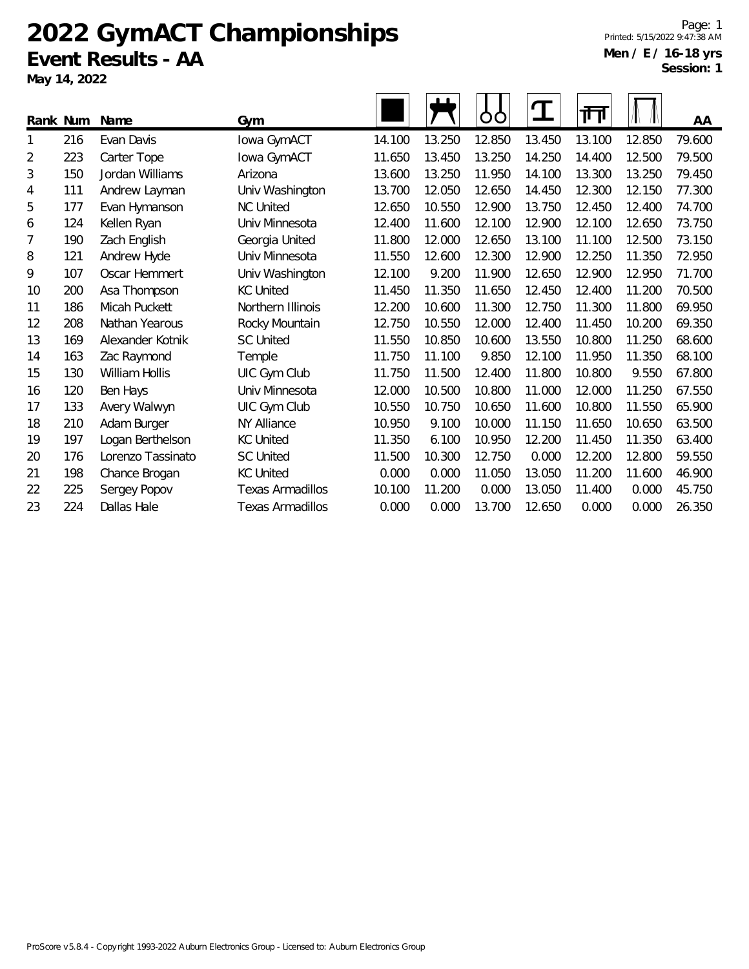# **2022 GymACT Championships Event Results - AA**

**May 14, 2022**

| Rank Num |     | Name              | Gym                     |        |        | O      | $\mathbf T$ | गा     |        | AA     |
|----------|-----|-------------------|-------------------------|--------|--------|--------|-------------|--------|--------|--------|
| 1        | 216 | Evan Davis        | Iowa GymACT             | 14.100 | 13.250 | 12.850 | 13.450      | 13.100 | 12.850 | 79.600 |
| 2        | 223 | Carter Tope       | Iowa GymACT             | 11.650 | 13.450 | 13.250 | 14.250      | 14.400 | 12.500 | 79.500 |
| 3        | 150 | Jordan Williams   | Arizona                 | 13.600 | 13.250 | 11.950 | 14.100      | 13.300 | 13.250 | 79.450 |
| 4        | 111 | Andrew Layman     | Univ Washington         | 13.700 | 12.050 | 12.650 | 14.450      | 12.300 | 12.150 | 77.300 |
| 5        | 177 | Evan Hymanson     | <b>NC United</b>        | 12.650 | 10.550 | 12.900 | 13.750      | 12.450 | 12.400 | 74.700 |
| 6        | 124 | Kellen Ryan       | Univ Minnesota          | 12.400 | 11.600 | 12.100 | 12.900      | 12.100 | 12.650 | 73.750 |
| 7        | 190 | Zach English      | Georgia United          | 11.800 | 12.000 | 12.650 | 13.100      | 11.100 | 12.500 | 73.150 |
| 8        | 121 | Andrew Hyde       | Univ Minnesota          | 11.550 | 12.600 | 12.300 | 12.900      | 12.250 | 11.350 | 72.950 |
| 9        | 107 | Oscar Hemmert     | Univ Washington         | 12.100 | 9.200  | 11.900 | 12.650      | 12.900 | 12.950 | 71.700 |
| 10       | 200 | Asa Thompson      | <b>KC United</b>        | 11.450 | 11.350 | 11.650 | 12.450      | 12.400 | 11.200 | 70.500 |
| 11       | 186 | Micah Puckett     | Northern Illinois       | 12.200 | 10.600 | 11.300 | 12.750      | 11.300 | 11.800 | 69.950 |
| 12       | 208 | Nathan Yearous    | Rocky Mountain          | 12.750 | 10.550 | 12.000 | 12.400      | 11.450 | 10.200 | 69.350 |
| 13       | 169 | Alexander Kotnik  | <b>SC United</b>        | 11.550 | 10.850 | 10.600 | 13.550      | 10.800 | 11.250 | 68.600 |
| 14       | 163 | Zac Raymond       | Temple                  | 11.750 | 11.100 | 9.850  | 12.100      | 11.950 | 11.350 | 68.100 |
| 15       | 130 | William Hollis    | UIC Gym Club            | 11.750 | 11.500 | 12.400 | 11.800      | 10.800 | 9.550  | 67.800 |
| 16       | 120 | Ben Hays          | Univ Minnesota          | 12.000 | 10.500 | 10.800 | 11.000      | 12.000 | 11.250 | 67.550 |
| 17       | 133 | Avery Walwyn      | UIC Gym Club            | 10.550 | 10.750 | 10.650 | 11.600      | 10.800 | 11.550 | 65.900 |
| 18       | 210 | Adam Burger       | <b>NY Alliance</b>      | 10.950 | 9.100  | 10.000 | 11.150      | 11.650 | 10.650 | 63.500 |
| 19       | 197 | Logan Berthelson  | <b>KC United</b>        | 11.350 | 6.100  | 10.950 | 12.200      | 11.450 | 11.350 | 63.400 |
| 20       | 176 | Lorenzo Tassinato | <b>SC United</b>        | 11.500 | 10.300 | 12.750 | 0.000       | 12.200 | 12.800 | 59.550 |
| 21       | 198 | Chance Brogan     | <b>KC United</b>        | 0.000  | 0.000  | 11.050 | 13.050      | 11.200 | 11.600 | 46.900 |
| 22       | 225 | Sergey Popov      | <b>Texas Armadillos</b> | 10.100 | 11.200 | 0.000  | 13.050      | 11.400 | 0.000  | 45.750 |
| 23       | 224 | Dallas Hale       | <b>Texas Armadillos</b> | 0.000  | 0.000  | 13.700 | 12.650      | 0.000  | 0.000  | 26.350 |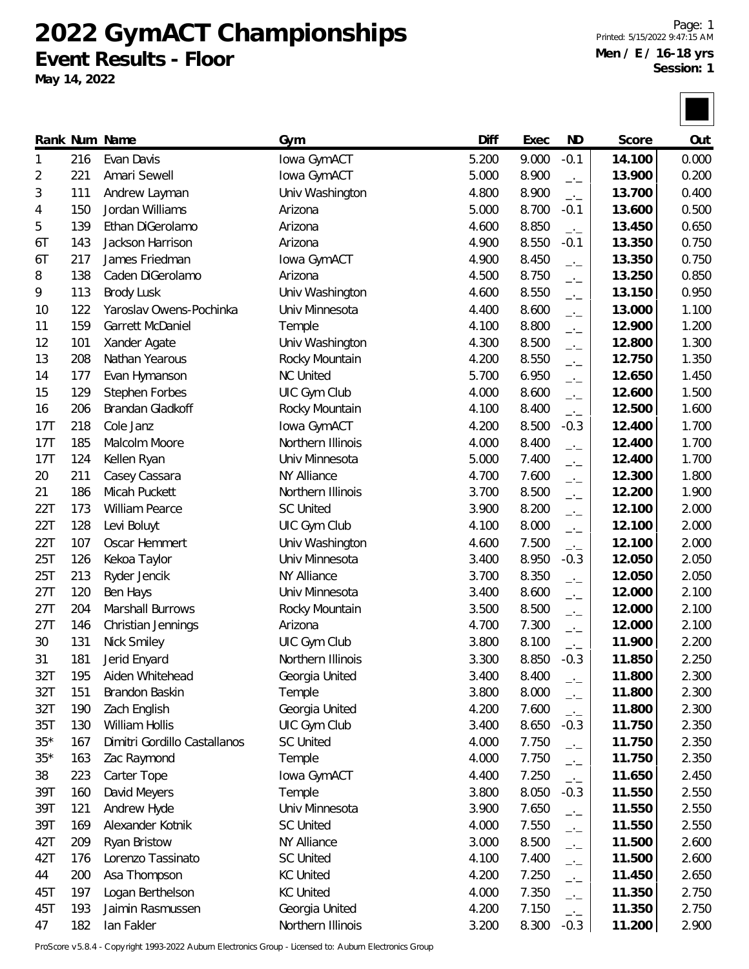**2022 GymACT Championships Event Results - Floor**

**May 14, 2022**

Page: 1 Printed: 5/15/2022 9:47:15 AM **Men / E / 16-18 yrs Session: 1**

|       |     | Rank Num Name                | Gym               | Diff  | Exec  | <b>ND</b>                | Score  | Out   |
|-------|-----|------------------------------|-------------------|-------|-------|--------------------------|--------|-------|
| 1     | 216 | Evan Davis                   | Iowa GymACT       | 5.200 | 9.000 | $-0.1$                   | 14.100 | 0.000 |
| 2     | 221 | Amari Sewell                 | Iowa GymACT       | 5.000 | 8.900 | $\rightarrow$            | 13.900 | 0.200 |
| 3     | 111 | Andrew Layman                | Univ Washington   | 4.800 | 8.900 | $-$                      | 13.700 | 0.400 |
| 4     | 150 | Jordan Williams              | Arizona           | 5.000 | 8.700 | $-0.1$                   | 13.600 | 0.500 |
| 5     | 139 | Ethan DiGerolamo             | Arizona           | 4.600 | 8.850 | $-1$                     | 13.450 | 0.650 |
| 6T    | 143 | Jackson Harrison             | Arizona           | 4.900 | 8.550 | $-0.1$                   | 13.350 | 0.750 |
| 6T    | 217 | James Friedman               | Iowa GymACT       | 4.900 | 8.450 | $-1$                     | 13.350 | 0.750 |
| 8     | 138 | Caden DiGerolamo             | Arizona           | 4.500 | 8.750 | $-1$                     | 13.250 | 0.850 |
| 9     | 113 | <b>Brody Lusk</b>            | Univ Washington   | 4.600 | 8.550 | $-1$                     | 13.150 | 0.950 |
| 10    | 122 | Yaroslav Owens-Pochinka      | Univ Minnesota    | 4.400 | 8.600 | $\rightarrow$            | 13.000 | 1.100 |
| 11    | 159 | Garrett McDaniel             | Temple            | 4.100 | 8.800 | $-1$                     | 12.900 | 1.200 |
| 12    | 101 | Xander Agate                 | Univ Washington   | 4.300 | 8.500 | $-1$                     | 12.800 | 1.300 |
| 13    | 208 | Nathan Yearous               | Rocky Mountain    | 4.200 | 8.550 | $-1$                     | 12.750 | 1.350 |
| 14    | 177 | Evan Hymanson                | <b>NC United</b>  | 5.700 | 6.950 | $-1$                     | 12.650 | 1.450 |
| 15    | 129 | Stephen Forbes               | UIC Gym Club      | 4.000 | 8.600 | $-1$                     | 12.600 | 1.500 |
| 16    | 206 | Brandan Gladkoff             | Rocky Mountain    | 4.100 | 8.400 | $-1$                     | 12.500 | 1.600 |
| 17T   | 218 | Cole Janz                    | lowa GymACT       | 4.200 | 8.500 | $-0.3$                   | 12.400 | 1.700 |
| 17T   | 185 | Malcolm Moore                | Northern Illinois | 4.000 | 8.400 | $\overline{\phantom{a}}$ | 12.400 | 1.700 |
| 17T   | 124 | Kellen Ryan                  | Univ Minnesota    | 5.000 | 7.400 | $-1$                     | 12.400 | 1.700 |
| 20    | 211 | Casey Cassara                | NY Alliance       | 4.700 | 7.600 | $-1$                     | 12.300 | 1.800 |
| 21    | 186 | Micah Puckett                | Northern Illinois | 3.700 | 8.500 | $-1$                     | 12.200 | 1.900 |
| 22T   | 173 | William Pearce               | <b>SC United</b>  | 3.900 | 8.200 | $-1$                     | 12.100 | 2.000 |
| 22T   | 128 | Levi Boluyt                  | UIC Gym Club      | 4.100 | 8.000 | $-1$                     | 12.100 | 2.000 |
| 22T   | 107 | Oscar Hemmert                | Univ Washington   | 4.600 | 7.500 | $-1$                     | 12.100 | 2.000 |
| 25T   | 126 | Kekoa Taylor                 | Univ Minnesota    | 3.400 | 8.950 | $-0.3$                   | 12.050 | 2.050 |
| 25T   | 213 | Ryder Jencik                 | NY Alliance       | 3.700 | 8.350 | $-$                      | 12.050 | 2.050 |
| 27T   | 120 | Ben Hays                     | Univ Minnesota    | 3.400 | 8.600 | $-1$                     | 12.000 | 2.100 |
| 27T   | 204 | Marshall Burrows             | Rocky Mountain    | 3.500 | 8.500 | $-1$                     | 12.000 | 2.100 |
| 27T   | 146 | Christian Jennings           | Arizona           | 4.700 | 7.300 | $-1$                     | 12.000 | 2.100 |
| 30    | 131 | Nick Smiley                  | UIC Gym Club      | 3.800 | 8.100 | $-1$                     | 11.900 | 2.200 |
| 31    | 181 | Jerid Enyard                 | Northern Illinois | 3.300 | 8.850 | $-0.3$                   | 11.850 | 2.250 |
| 32T   | 195 | Aiden Whitehead              | Georgia United    | 3.400 | 8.400 | $-1$                     | 11.800 | 2.300 |
| 32T   | 151 | Brandon Baskin               | Temple            | 3.800 | 8.000 | $\overline{\phantom{a}}$ | 11.800 | 2.300 |
| 32T   | 190 | Zach English                 | Georgia United    | 4.200 | 7.600 | $-1$                     | 11.800 | 2.300 |
| 35T   | 130 | William Hollis               | UIC Gym Club      | 3.400 | 8.650 | $-0.3$                   | 11.750 | 2.350 |
| $35*$ | 167 | Dimitri Gordillo Castallanos | <b>SC United</b>  | 4.000 | 7.750 | $-1$                     | 11.750 | 2.350 |
| $35*$ | 163 | Zac Raymond                  | Temple            | 4.000 | 7.750 | $\overline{\phantom{a}}$ | 11.750 | 2.350 |
| 38    | 223 | Carter Tope                  | Iowa GymACT       | 4.400 | 7.250 | $-1$                     | 11.650 | 2.450 |
| 39T   | 160 | David Meyers                 | Temple            | 3.800 | 8.050 | $-0.3$                   | 11.550 | 2.550 |
| 39T   | 121 | Andrew Hyde                  | Univ Minnesota    | 3.900 | 7.650 | $-1$                     | 11.550 | 2.550 |
| 39T   | 169 | Alexander Kotnik             | <b>SC United</b>  | 4.000 | 7.550 | $-1$                     | 11.550 | 2.550 |
| 42T   | 209 | Ryan Bristow                 | NY Alliance       | 3.000 | 8.500 | $-$                      | 11.500 | 2.600 |
| 42T   | 176 | Lorenzo Tassinato            | <b>SC United</b>  | 4.100 | 7.400 | $ -$                     | 11.500 | 2.600 |
| 44    | 200 | Asa Thompson                 | <b>KC United</b>  | 4.200 | 7.250 | $-1$                     | 11.450 | 2.650 |
| 45T   | 197 | Logan Berthelson             | <b>KC United</b>  | 4.000 | 7.350 | $-1$                     | 11.350 | 2.750 |
| 45T   | 193 | Jaimin Rasmussen             | Georgia United    | 4.200 | 7.150 | $-1$                     | 11.350 | 2.750 |
| 47    | 182 | lan Fakler                   | Northern Illinois | 3.200 | 8.300 | $-0.3$                   | 11.200 | 2.900 |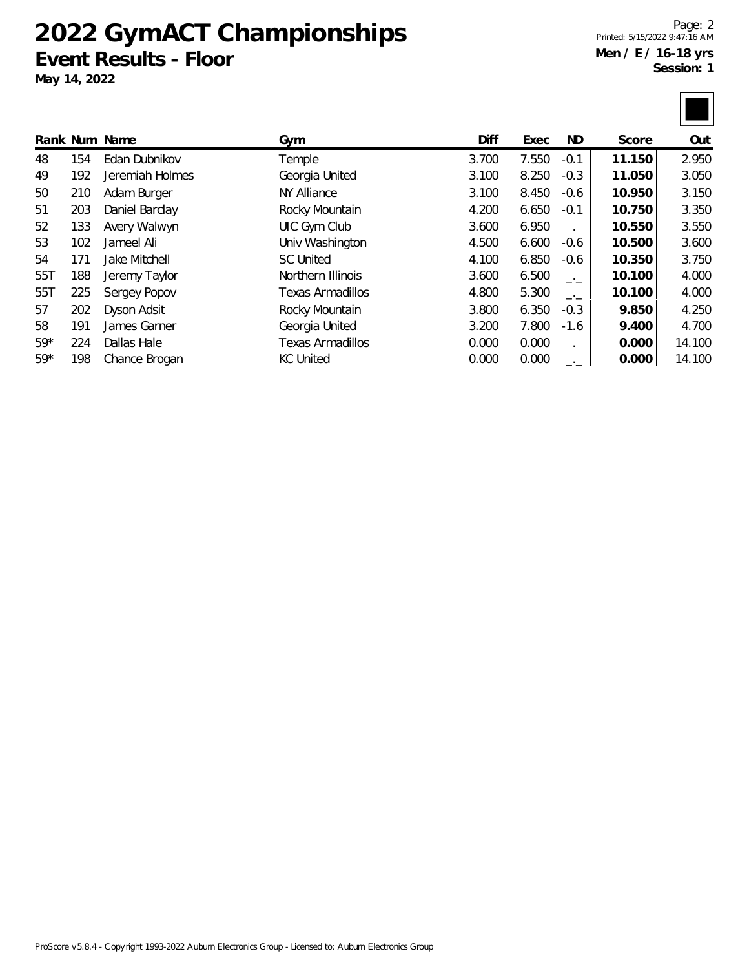### **2022 GymACT Championships Event Results - Floor**

**May 14, 2022**

Page: 2 Printed: 5/15/2022 9:47:16 AM **Men / E / 16-18 yrs Session: 1**

|       |     | Rank Num Name   | Gym               | Diff  | Exec  | ND.    | Score  | Out    |
|-------|-----|-----------------|-------------------|-------|-------|--------|--------|--------|
| 48    | 154 | Edan Dubnikov   | Temple            | 3.700 | 7.550 | $-0.1$ | 11.150 | 2.950  |
| 49    | 192 | Jeremiah Holmes | Georgia United    | 3.100 | 8.250 | $-0.3$ | 11.050 | 3.050  |
| 50    | 210 | Adam Burger     | NY Alliance       | 3.100 | 8.450 | $-0.6$ | 10.950 | 3.150  |
| 51    | 203 | Daniel Barclay  | Rocky Mountain    | 4.200 | 6.650 | $-0.1$ | 10.750 | 3.350  |
| 52    | 133 | Avery Walwyn    | UIC Gym Club      | 3.600 | 6.950 | $-1$   | 10.550 | 3.550  |
| 53    | 102 | Jameel Ali      | Univ Washington   | 4.500 | 6.600 | $-0.6$ | 10.500 | 3.600  |
| 54    | 171 | Jake Mitchell   | <b>SC United</b>  | 4.100 | 6.850 | $-0.6$ | 10.350 | 3.750  |
| 55T   | 188 | Jeremy Taylor   | Northern Illinois | 3.600 | 6.500 | $-1$   | 10.100 | 4.000  |
| 55T   | 225 | Sergey Popov    | Texas Armadillos  | 4.800 | 5.300 | $-1$   | 10.100 | 4.000  |
| 57    | 202 | Dyson Adsit     | Rocky Mountain    | 3.800 | 6.350 | $-0.3$ | 9.850  | 4.250  |
| 58    | 191 | James Garner    | Georgia United    | 3.200 | 7.800 | $-1.6$ | 9.400  | 4.700  |
| $59*$ | 224 | Dallas Hale     | Texas Armadillos  | 0.000 | 0.000 | —'—    | 0.000  | 14.100 |
| $59*$ | 198 | Chance Brogan   | <b>KC United</b>  | 0.000 | 0.000 | $-1$   | 0.000  | 14.100 |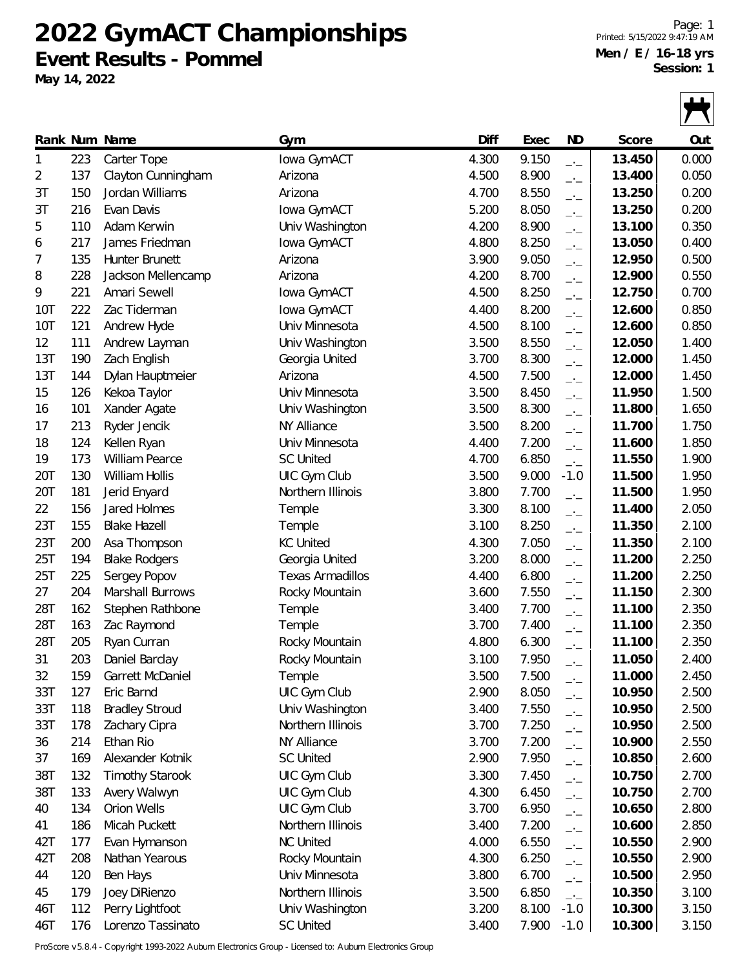## **2022 GymACT Championships Event Results - Pommel**

**May 14, 2022**

Page: 1 Printed: 5/15/2022 9:47:19 AM **Men / E / 16-18 yrs Session: 1**

 $\blacksquare$ 

|            |     | Rank Num Name          | Gym                     | Diff  | Exec  | <b>ND</b>                | Score  | Out   |
|------------|-----|------------------------|-------------------------|-------|-------|--------------------------|--------|-------|
| 1          | 223 | Carter Tope            | Iowa GymACT             | 4.300 | 9.150 | $-1$                     | 13.450 | 0.000 |
| 2          | 137 | Clayton Cunningham     | Arizona                 | 4.500 | 8.900 | $-1$                     | 13.400 | 0.050 |
| 3T         | 150 | Jordan Williams        | Arizona                 | 4.700 | 8.550 | $-1$                     | 13.250 | 0.200 |
| 3T         | 216 | Evan Davis             | Iowa GymACT             | 5.200 | 8.050 | $-1$                     | 13.250 | 0.200 |
| 5          | 110 | Adam Kerwin            | Univ Washington         | 4.200 | 8.900 | $ -$                     | 13.100 | 0.350 |
| 6          | 217 | James Friedman         | Iowa GymACT             | 4.800 | 8.250 | $-1$                     | 13.050 | 0.400 |
| 7          | 135 | Hunter Brunett         | Arizona                 | 3.900 | 9.050 | $-1$                     | 12.950 | 0.500 |
| 8          | 228 | Jackson Mellencamp     | Arizona                 | 4.200 | 8.700 | $-1$                     | 12.900 | 0.550 |
| 9          | 221 | Amari Sewell           | Iowa GymACT             | 4.500 | 8.250 | $-1$                     | 12.750 | 0.700 |
| <b>10T</b> | 222 | Zac Tiderman           | Iowa GymACT             | 4.400 | 8.200 | $-1$                     | 12.600 | 0.850 |
| <b>10T</b> | 121 | Andrew Hyde            | Univ Minnesota          | 4.500 | 8.100 | $-1$                     | 12.600 | 0.850 |
| 12         | 111 | Andrew Layman          | Univ Washington         | 3.500 | 8.550 | $-1$                     | 12.050 | 1.400 |
| 13T        | 190 | Zach English           | Georgia United          | 3.700 | 8.300 | $-1$                     | 12.000 | 1.450 |
| 13T        | 144 | Dylan Hauptmeier       | Arizona                 | 4.500 | 7.500 | $\overline{\phantom{a}}$ | 12.000 | 1.450 |
| 15         | 126 | Kekoa Taylor           | Univ Minnesota          | 3.500 | 8.450 | $-1$                     | 11.950 | 1.500 |
| 16         | 101 | Xander Agate           | Univ Washington         | 3.500 | 8.300 | $-1$                     | 11.800 | 1.650 |
| 17         | 213 | Ryder Jencik           | NY Alliance             | 3.500 | 8.200 | $-1$                     | 11.700 | 1.750 |
| 18         | 124 | Kellen Ryan            | Univ Minnesota          | 4.400 | 7.200 | $-1$                     | 11.600 | 1.850 |
| 19         | 173 | William Pearce         | <b>SC United</b>        | 4.700 | 6.850 | $-1$                     | 11.550 | 1.900 |
| 20T        | 130 | William Hollis         | UIC Gym Club            | 3.500 | 9.000 | $-1.0$                   | 11.500 | 1.950 |
| 20T        | 181 | Jerid Enyard           | Northern Illinois       | 3.800 | 7.700 | $-1$                     | 11.500 | 1.950 |
| 22         | 156 | Jared Holmes           | Temple                  | 3.300 | 8.100 | $-1$                     | 11.400 | 2.050 |
| 23T        | 155 | <b>Blake Hazell</b>    | Temple                  | 3.100 | 8.250 | $-1$                     | 11.350 | 2.100 |
| 23T        | 200 | Asa Thompson           | <b>KC United</b>        | 4.300 | 7.050 | $-1$                     | 11.350 | 2.100 |
| 25T        | 194 | <b>Blake Rodgers</b>   | Georgia United          | 3.200 | 8.000 | $-1$                     | 11.200 | 2.250 |
| 25T        | 225 | Sergey Popov           | <b>Texas Armadillos</b> | 4.400 | 6.800 | $-1$                     | 11.200 | 2.250 |
| 27         | 204 | Marshall Burrows       | Rocky Mountain          | 3.600 | 7.550 | $-1$                     | 11.150 | 2.300 |
| 28T        | 162 | Stephen Rathbone       | Temple                  | 3.400 | 7.700 | $-1$                     | 11.100 | 2.350 |
| 28T        | 163 | Zac Raymond            | Temple                  | 3.700 | 7.400 | $\overline{\phantom{a}}$ | 11.100 | 2.350 |
| 28T        | 205 | Ryan Curran            | Rocky Mountain          | 4.800 | 6.300 | $-1$                     | 11.100 | 2.350 |
| 31         | 203 | Daniel Barclay         | Rocky Mountain          | 3.100 | 7.950 |                          | 11.050 | 2.400 |
| 32         | 159 | Garrett McDaniel       | Temple                  | 3.500 | 7.500 | $ -$                     | 11.000 | 2.450 |
| 33T        | 127 | Eric Barnd             | UIC Gym Club            | 2.900 | 8.050 | $ -$<br>$-1$             | 10.950 | 2.500 |
| 33T        | 118 | <b>Bradley Stroud</b>  | Univ Washington         | 3.400 | 7.550 |                          | 10.950 | 2.500 |
| 33T        | 178 | Zachary Cipra          | Northern Illinois       | 3.700 | 7.250 | $-1$                     | 10.950 | 2.500 |
| 36         | 214 | Ethan Rio              | NY Alliance             | 3.700 | 7.200 | $-1$                     | 10.900 | 2.550 |
| 37         | 169 | Alexander Kotnik       | <b>SC United</b>        | 2.900 | 7.950 | $ -$<br>$-1$             | 10.850 | 2.600 |
| 38T        | 132 | <b>Timothy Starook</b> | UIC Gym Club            | 3.300 | 7.450 |                          | 10.750 | 2.700 |
| 38T        | 133 | Avery Walwyn           | UIC Gym Club            | 4.300 | 6.450 | $-$                      | 10.750 | 2.700 |
| 40         | 134 | Orion Wells            | UIC Gym Club            | 3.700 | 6.950 | $ -$                     | 10.650 | 2.800 |
| 41         | 186 | Micah Puckett          | Northern Illinois       | 3.400 | 7.200 | $-1$                     | 10.600 | 2.850 |
| 42T        | 177 | Evan Hymanson          | <b>NC United</b>        | 4.000 | 6.550 | $-1$                     | 10.550 | 2.900 |
| 42T        | 208 | Nathan Yearous         | Rocky Mountain          | 4.300 | 6.250 | $-$                      | 10.550 | 2.900 |
| 44         | 120 | Ben Hays               | Univ Minnesota          | 3.800 | 6.700 | $ -$                     | 10.500 | 2.950 |
| 45         | 179 | Joey DiRienzo          | Northern Illinois       | 3.500 | 6.850 | $-1$                     | 10.350 | 3.100 |
| 46T        | 112 | Perry Lightfoot        | Univ Washington         | 3.200 | 8.100 | $-1$<br>$-1.0$           | 10.300 | 3.150 |
| 46T        | 176 | Lorenzo Tassinato      | <b>SC United</b>        | 3.400 | 7.900 | $-1.0$                   | 10.300 | 3.150 |
|            |     |                        |                         |       |       |                          |        |       |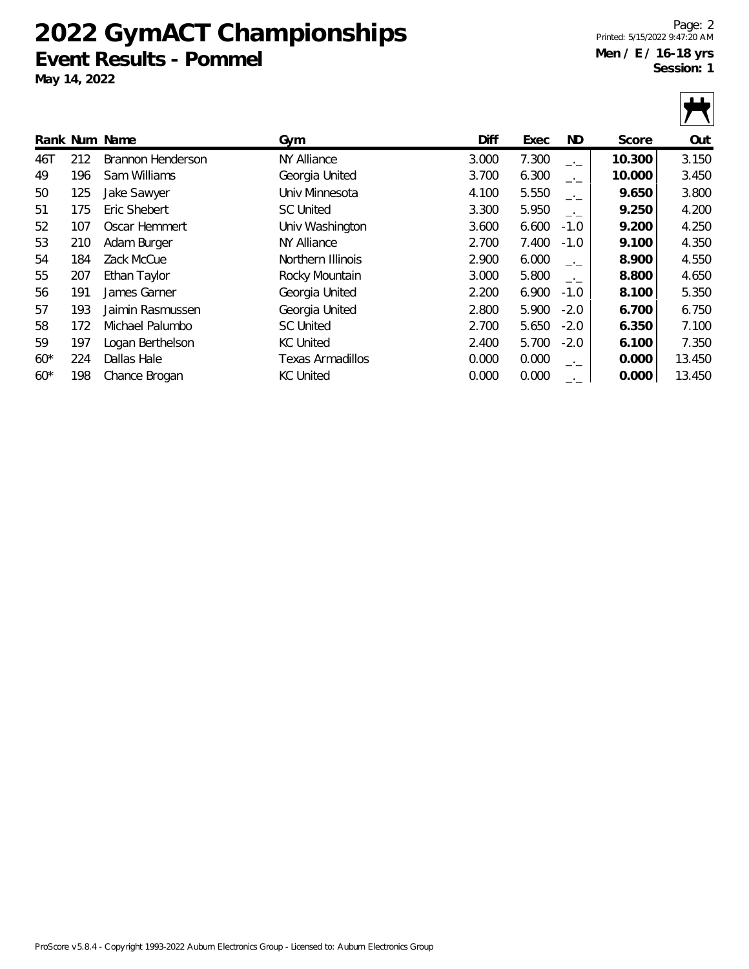## **2022 GymACT Championships Event Results - Pommel**

**May 14, 2022**

Page: 2 Printed: 5/15/2022 9:47:20 AM **Men / E / 16-18 yrs Session: 1**

|       |     |                   |                    |       |       |        |        | $\mathbf{L}$ |
|-------|-----|-------------------|--------------------|-------|-------|--------|--------|--------------|
|       |     | Rank Num Name     | Gym                | Diff  | Exec  | ND     | Score  | Out          |
| 46T   | 212 | Brannon Henderson | <b>NY Alliance</b> | 3.000 | 7.300 | $-1$   | 10.300 | 3.150        |
| 49    | 196 | Sam Williams      | Georgia United     | 3.700 | 6.300 | $-1$   | 10.000 | 3.450        |
| 50    | 125 | Jake Sawyer       | Univ Minnesota     | 4.100 | 5.550 | $-1$   | 9.650  | 3.800        |
| 51    | 175 | Eric Shebert      | <b>SC United</b>   | 3.300 | 5.950 | $-1$   | 9.250  | 4.200        |
| 52    | 107 | Oscar Hemmert     | Univ Washington    | 3.600 | 6.600 | $-1.0$ | 9.200  | 4.250        |
| 53    | 210 | Adam Burger       | NY Alliance        | 2.700 | 7.400 | $-1.0$ | 9.100  | 4.350        |
| 54    | 184 | Zack McCue        | Northern Illinois  | 2.900 | 6.000 | $-1$   | 8.900  | 4.550        |
| 55    | 207 | Ethan Taylor      | Rocky Mountain     | 3.000 | 5.800 | $-1$   | 8.800  | 4.650        |
| 56    | 191 | James Garner      | Georgia United     | 2.200 | 6.900 | $-1.0$ | 8.100  | 5.350        |
| 57    | 193 | Jaimin Rasmussen  | Georgia United     | 2.800 | 5.900 | $-2.0$ | 6.700  | 6.750        |
| 58    | 172 | Michael Palumbo   | <b>SC United</b>   | 2.700 | 5.650 | $-2.0$ | 6.350  | 7.100        |
| 59    | 197 | Logan Berthelson  | <b>KC United</b>   | 2.400 | 5.700 | $-2.0$ | 6.100  | 7.350        |
| $60*$ | 224 | Dallas Hale       | Texas Armadillos   | 0.000 | 0.000 | $-1$   | 0.000  | 13.450       |
| $60*$ | 198 | Chance Brogan     | <b>KC United</b>   | 0.000 | 0.000 |        | 0.000  | 13.450       |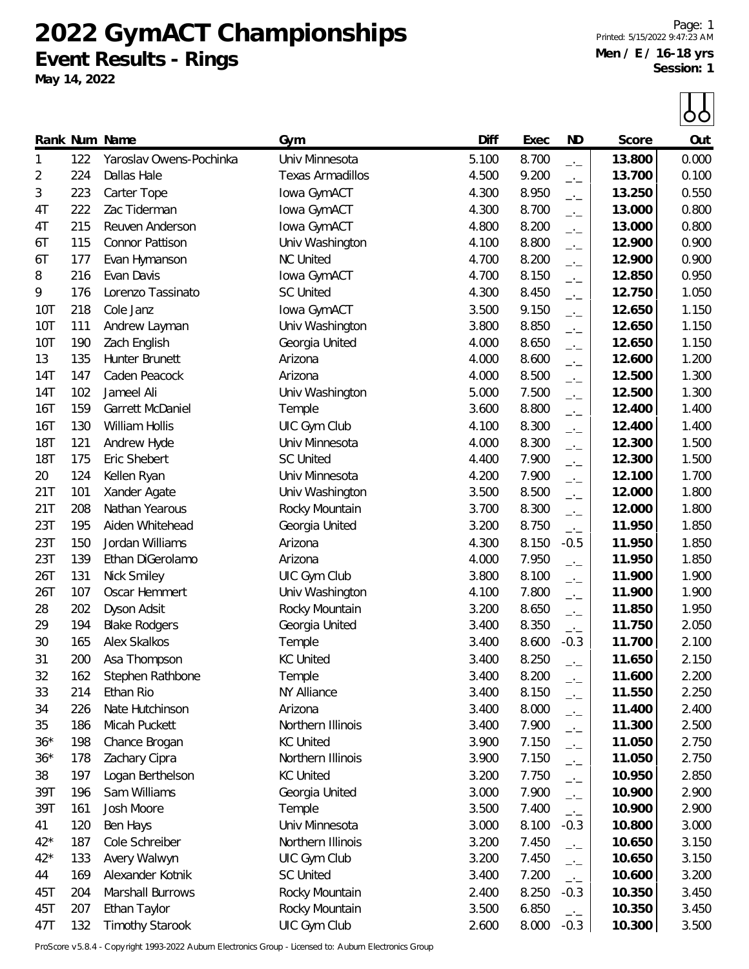**2022 GymACT Championships Event Results - Rings**

**May 14, 2022**

Page: 1 Printed: 5/15/2022 9:47:23 AM **Men / E / 16-18 yrs Session: 1**

 $\Box$ 

|            |     |                         |                                  |       |       |                          |        | OO    |
|------------|-----|-------------------------|----------------------------------|-------|-------|--------------------------|--------|-------|
|            |     | Rank Num Name           | Gym                              | Diff  | Exec  | <b>ND</b>                | Score  | Out   |
| 1          | 122 | Yaroslav Owens-Pochinka | Univ Minnesota                   | 5.100 | 8.700 | $-1$                     | 13.800 | 0.000 |
| 2          | 224 | Dallas Hale             | <b>Texas Armadillos</b>          | 4.500 | 9.200 | $-1$                     | 13.700 | 0.100 |
| 3          | 223 | Carter Tope             | Iowa GymACT                      | 4.300 | 8.950 | $-1$                     | 13.250 | 0.550 |
| 4T         | 222 | Zac Tiderman            | Iowa GymACT                      | 4.300 | 8.700 | $-1$                     | 13.000 | 0.800 |
| 4T         | 215 | Reuven Anderson         | Iowa GymACT                      | 4.800 | 8.200 | $-1$                     | 13.000 | 0.800 |
| 6T         | 115 | Connor Pattison         | Univ Washington                  | 4.100 | 8.800 | $-1$                     | 12.900 | 0.900 |
| 6T         | 177 | Evan Hymanson           | <b>NC United</b>                 | 4.700 | 8.200 | $-1$                     | 12.900 | 0.900 |
| 8          | 216 | Evan Davis              | Iowa GymACT                      | 4.700 | 8.150 | $-1$                     | 12.850 | 0.950 |
| 9          | 176 | Lorenzo Tassinato       | <b>SC United</b>                 | 4.300 | 8.450 | $-1$                     | 12.750 | 1.050 |
| 10T        | 218 | Cole Janz               | Iowa GymACT                      | 3.500 | 9.150 | $-1$                     | 12.650 | 1.150 |
| 10T        | 111 | Andrew Layman           | Univ Washington                  | 3.800 | 8.850 | $-1$                     | 12.650 | 1.150 |
| 10T        | 190 | Zach English            | Georgia United                   | 4.000 | 8.650 | $-1$                     | 12.650 | 1.150 |
| 13         | 135 | Hunter Brunett          | Arizona                          | 4.000 | 8.600 | $-1$                     | 12.600 | 1.200 |
| 14T        | 147 | Caden Peacock           | Arizona                          | 4.000 | 8.500 | $-1$                     | 12.500 | 1.300 |
| 14T        | 102 | Jameel Ali              | Univ Washington                  | 5.000 | 7.500 | $-1$                     | 12.500 | 1.300 |
| 16T        | 159 | Garrett McDaniel        | Temple                           | 3.600 | 8.800 | $-1$                     | 12.400 | 1.400 |
| 16T        | 130 | William Hollis          | UIC Gym Club                     | 4.100 | 8.300 | $-1$                     | 12.400 | 1.400 |
| <b>18T</b> | 121 | Andrew Hyde             | Univ Minnesota                   | 4.000 | 8.300 | $\overline{\phantom{a}}$ | 12.300 | 1.500 |
| <b>18T</b> | 175 | Eric Shebert            | <b>SC United</b>                 | 4.400 | 7.900 | $-1$                     | 12.300 | 1.500 |
| 20         | 124 | Kellen Ryan             | Univ Minnesota                   | 4.200 | 7.900 | $-1$                     | 12.100 | 1.700 |
| 21T        | 101 | Xander Agate            | Univ Washington                  | 3.500 | 8.500 | $-1$                     | 12.000 | 1.800 |
| 21T        | 208 | Nathan Yearous          | Rocky Mountain                   | 3.700 | 8.300 | $-1$                     | 12.000 | 1.800 |
| 23T        | 195 | Aiden Whitehead         | Georgia United                   | 3.200 | 8.750 | $\overline{\phantom{a}}$ | 11.950 | 1.850 |
| 23T        | 150 | Jordan Williams         | Arizona                          | 4.300 | 8.150 | $-0.5$                   | 11.950 | 1.850 |
| 23T        | 139 | Ethan DiGerolamo        | Arizona                          | 4.000 | 7.950 |                          | 11.950 | 1.850 |
| 26T        | 131 | Nick Smiley             | UIC Gym Club                     | 3.800 | 8.100 | $-1$                     | 11.900 | 1.900 |
| 26T        | 107 | Oscar Hemmert           | Univ Washington                  | 4.100 | 7.800 | $-1$                     | 11.900 | 1.900 |
| 28         | 202 | Dyson Adsit             | Rocky Mountain                   | 3.200 | 8.650 | $-1$                     | 11.850 | 1.950 |
| 29         | 194 | <b>Blake Rodgers</b>    | Georgia United                   | 3.400 | 8.350 | $-1$                     | 11.750 | 2.050 |
| 30         | 165 | <b>Alex Skalkos</b>     | Temple                           | 3.400 | 8.600 | $-1$<br>$-0.3$           | 11.700 | 2.100 |
| 31         | 200 | Asa Thompson            | <b>KC United</b>                 | 3.400 | 8.250 |                          | 11.650 | 2.150 |
| 32         | 162 | Stephen Rathbone        | Temple                           | 3.400 | 8.200 | $-1$                     | 11.600 | 2.200 |
| 33         | 214 | Ethan Rio               | NY Alliance                      | 3.400 | 8.150 | $-1$                     | 11.550 | 2.250 |
| 34         | 226 | Nate Hutchinson         | Arizona                          | 3.400 | 8.000 | $-1$                     | 11.400 | 2.400 |
| 35         | 186 | Micah Puckett           | Northern Illinois                | 3.400 | 7.900 | $-1$                     | 11.300 | 2.500 |
| $36*$      | 198 | Chance Brogan           | <b>KC United</b>                 | 3.900 | 7.150 | $ -$                     | 11.050 | 2.750 |
| $36*$      | 178 | Zachary Cipra           | Northern Illinois                | 3.900 | 7.150 | $-1$                     | 11.050 | 2.750 |
| 38         | 197 | Logan Berthelson        | <b>KC United</b>                 | 3.200 | 7.750 | $\overline{\phantom{a}}$ | 10.950 | 2.850 |
| 39T        | 196 | Sam Williams            | Georgia United                   | 3.000 | 7.900 | $ -$                     | 10.900 | 2.900 |
| 39T        | 161 | Josh Moore              | Temple                           | 3.500 | 7.400 | $ -$                     | 10.900 | 2.900 |
| 41         | 120 | Ben Hays                | Univ Minnesota                   | 3.000 | 8.100 | $-1$<br>$-0.3$           | 10.800 | 3.000 |
| $42*$      | 187 | Cole Schreiber          | Northern Illinois                | 3.200 | 7.450 |                          | 10.650 | 3.150 |
| $42*$      | 133 | Avery Walwyn            |                                  | 3.200 | 7.450 | $ -$                     | 10.650 | 3.150 |
| 44         | 169 | Alexander Kotnik        | UIC Gym Club<br><b>SC United</b> | 3.400 | 7.200 | $-1$                     | 10.600 | 3.200 |
| 45T        | 204 | Marshall Burrows        |                                  | 2.400 |       | $-1$                     | 10.350 |       |
| 45T        | 207 |                         | Rocky Mountain                   |       | 8.250 | $-0.3$                   | 10.350 | 3.450 |
|            |     | Ethan Taylor            | Rocky Mountain                   | 3.500 | 6.850 | $-1$                     |        | 3.450 |
| 47T        | 132 | <b>Timothy Starook</b>  | UIC Gym Club                     | 2.600 | 8.000 | $-0.3$                   | 10.300 | 3.500 |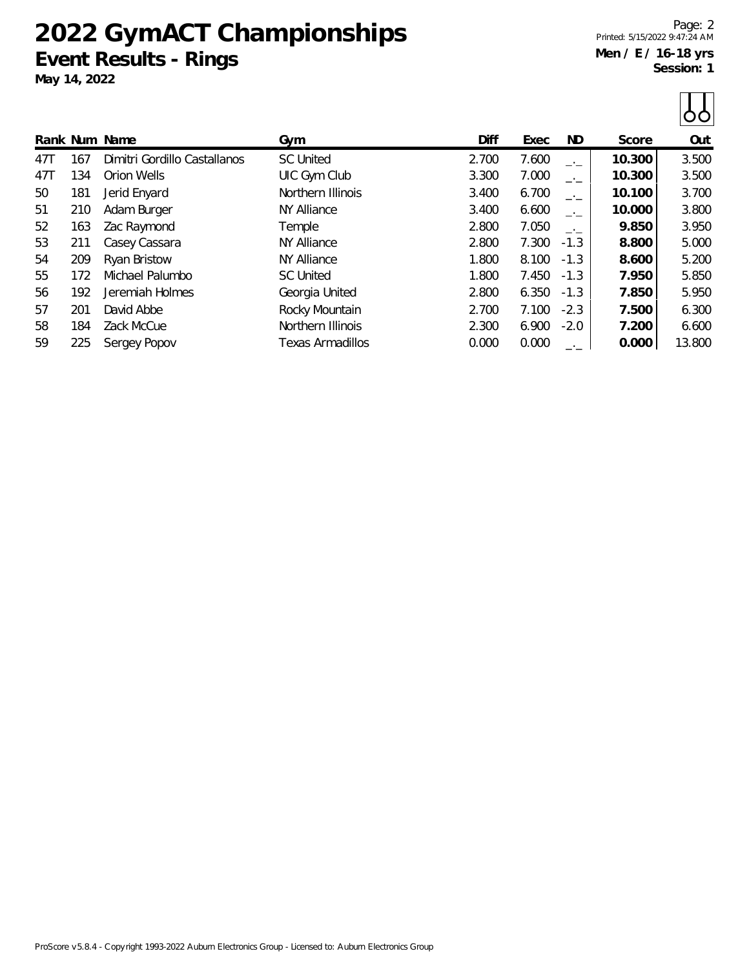# **2022 GymACT Championships Event Results - Rings**

**May 14, 2022**

Page: 2 Printed: 5/15/2022 9:47:24 AM **Men / E / 16-18 yrs Session: 1**

|               |                              |                    |       |       |        |        | OO     |
|---------------|------------------------------|--------------------|-------|-------|--------|--------|--------|
| Rank Num Name |                              | Gym                | Diff  | Exec  | ND     | Score  | Out    |
| 47T<br>167    | Dimitri Gordillo Castallanos | <b>SC United</b>   | 2.700 | 7.600 | $-1$   | 10.300 | 3.500  |
| 47T<br>134    | Orion Wells                  | UIC Gym Club       | 3.300 | 7.000 | $-1$   | 10.300 | 3.500  |
| 50<br>181     | Jerid Enyard                 | Northern Illinois  | 3.400 | 6.700 | $-1$   | 10.100 | 3.700  |
| 51<br>210     | Adam Burger                  | <b>NY Alliance</b> | 3.400 | 6.600 | $-1$   | 10.000 | 3.800  |
| 52<br>163     | Zac Raymond                  | Temple             | 2.800 | 7.050 | $-1$   | 9.850  | 3.950  |
| 53<br>211     | Casey Cassara                | <b>NY Alliance</b> | 2.800 | 7.300 | $-1.3$ | 8.800  | 5.000  |
| 54<br>209     | Ryan Bristow                 | <b>NY Alliance</b> | 1.800 | 8.100 | $-1.3$ | 8.600  | 5.200  |
| 55<br>172     | Michael Palumbo              | <b>SC United</b>   | 1.800 | 7.450 | $-1.3$ | 7.950  | 5.850  |
| 56<br>192     | Jeremiah Holmes              | Georgia United     | 2.800 | 6.350 | $-1.3$ | 7.850  | 5.950  |
| 57<br>201     | David Abbe                   | Rocky Mountain     | 2.700 | 7.100 | $-2.3$ | 7.500  | 6.300  |
| 58<br>184     | Zack McCue                   | Northern Illinois  | 2.300 | 6.900 | $-2.0$ | 7.200  | 6.600  |
| 59<br>225     | Sergey Popov                 | Texas Armadillos   | 0.000 | 0.000 | $-1$   | 0.000  | 13.800 |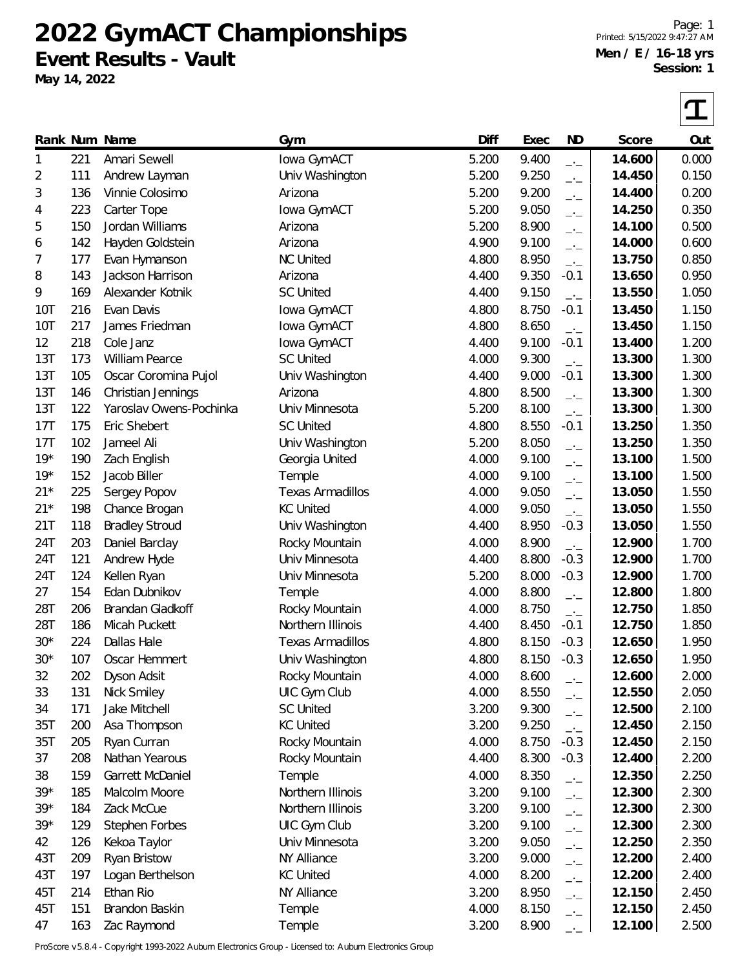**2022 GymACT Championships Event Results - Vault**

**May 14, 2022**

Page: 1 Printed: 5/15/2022 9:47:27 AM **Men / E / 16-18 yrs Session: 1**

 $|\boldsymbol{\tau}|$ 

|       |     | Rank Num Name           | Gym                     | Diff  | Exec  | <b>ND</b>                | Score  | Out   |
|-------|-----|-------------------------|-------------------------|-------|-------|--------------------------|--------|-------|
| 1     | 221 | Amari Sewell            | Iowa GymACT             | 5.200 | 9.400 | $-1$                     | 14.600 | 0.000 |
| 2     | 111 | Andrew Layman           | Univ Washington         | 5.200 | 9.250 | $-1$                     | 14.450 | 0.150 |
| 3     | 136 | Vinnie Colosimo         | Arizona                 | 5.200 | 9.200 | $-1$                     | 14.400 | 0.200 |
| 4     | 223 | Carter Tope             | Iowa GymACT             | 5.200 | 9.050 | $-1$                     | 14.250 | 0.350 |
| 5     | 150 | Jordan Williams         | Arizona                 | 5.200 | 8.900 | $\overline{\phantom{a}}$ | 14.100 | 0.500 |
| 6     | 142 | Hayden Goldstein        | Arizona                 | 4.900 | 9.100 | $-1$                     | 14.000 | 0.600 |
| 7     | 177 | Evan Hymanson           | <b>NC United</b>        | 4.800 | 8.950 | $\overline{a}$           | 13.750 | 0.850 |
| 8     | 143 | Jackson Harrison        | Arizona                 | 4.400 | 9.350 | $-0.1$                   | 13.650 | 0.950 |
| 9     | 169 | Alexander Kotnik        | <b>SC United</b>        | 4.400 | 9.150 | $-1$                     | 13.550 | 1.050 |
| 10T   | 216 | Evan Davis              | Iowa GymACT             | 4.800 | 8.750 | $-0.1$                   | 13.450 | 1.150 |
| 10T   | 217 | James Friedman          | Iowa GymACT             | 4.800 | 8.650 | $-1$                     | 13.450 | 1.150 |
| 12    | 218 | Cole Janz               | Iowa GymACT             | 4.400 | 9.100 | $-0.1$                   | 13.400 | 1.200 |
| 13T   | 173 | William Pearce          | <b>SC United</b>        | 4.000 | 9.300 | $-1$                     | 13.300 | 1.300 |
| 13T   | 105 | Oscar Coromina Pujol    | Univ Washington         | 4.400 | 9.000 | $-0.1$                   | 13.300 | 1.300 |
| 13T   | 146 | Christian Jennings      | Arizona                 | 4.800 | 8.500 | $-1$                     | 13.300 | 1.300 |
| 13T   | 122 | Yaroslav Owens-Pochinka | Univ Minnesota          | 5.200 | 8.100 | $-1$                     | 13.300 | 1.300 |
| 17T   | 175 | Eric Shebert            | <b>SC United</b>        | 4.800 | 8.550 | $-0.1$                   | 13.250 | 1.350 |
| 17T   | 102 | Jameel Ali              | Univ Washington         | 5.200 | 8.050 | $\overline{\phantom{a}}$ | 13.250 | 1.350 |
| $19*$ | 190 | Zach English            | Georgia United          | 4.000 | 9.100 | $-1$                     | 13.100 | 1.500 |
| $19*$ | 152 | Jacob Biller            | Temple                  | 4.000 | 9.100 | $\overline{\phantom{a}}$ | 13.100 | 1.500 |
| $21*$ | 225 | Sergey Popov            | <b>Texas Armadillos</b> | 4.000 | 9.050 | $-1$                     | 13.050 | 1.550 |
| $21*$ | 198 | Chance Brogan           | <b>KC United</b>        | 4.000 | 9.050 | $\overline{a}$           | 13.050 | 1.550 |
| 21T   | 118 | <b>Bradley Stroud</b>   | Univ Washington         | 4.400 | 8.950 | $-0.3$                   | 13.050 | 1.550 |
| 24T   | 203 | Daniel Barclay          | Rocky Mountain          | 4.000 | 8.900 | $-1$                     | 12.900 | 1.700 |
| 24T   | 121 | Andrew Hyde             | Univ Minnesota          | 4.400 | 8.800 | $-0.3$                   | 12.900 | 1.700 |
| 24T   | 124 | Kellen Ryan             | Univ Minnesota          | 5.200 | 8.000 | $-0.3$                   | 12.900 | 1.700 |
| 27    | 154 | Edan Dubnikov           | Temple                  | 4.000 | 8.800 | $-1$                     | 12.800 | 1.800 |
| 28T   | 206 | Brandan Gladkoff        | Rocky Mountain          | 4.000 | 8.750 | $-1$                     | 12.750 | 1.850 |
| 28T   | 186 | Micah Puckett           | Northern Illinois       | 4.400 | 8.450 | $-0.1$                   | 12.750 | 1.850 |
| $30*$ | 224 | Dallas Hale             | <b>Texas Armadillos</b> | 4.800 | 8.150 | $-0.3$                   | 12.650 | 1.950 |
| $30*$ | 107 | Oscar Hemmert           | Univ Washington         | 4.800 | 8.150 | $-0.3$                   | 12.650 | 1.950 |
| 32    | 202 | Dyson Adsit             | Rocky Mountain          | 4.000 | 8.600 | $-1$                     | 12.600 | 2.000 |
| 33    | 131 | Nick Smiley             | UIC Gym Club            | 4.000 | 8.550 | $-1$                     | 12.550 | 2.050 |
| 34    | 171 | Jake Mitchell           | <b>SC United</b>        | 3.200 | 9.300 | $-1$                     | 12.500 | 2.100 |
| 35T   | 200 | Asa Thompson            | <b>KC United</b>        | 3.200 | 9.250 | $-1$                     | 12.450 | 2.150 |
| 35T   | 205 | Ryan Curran             | Rocky Mountain          | 4.000 | 8.750 | $-0.3$                   | 12.450 | 2.150 |
| 37    | 208 | Nathan Yearous          | Rocky Mountain          | 4.400 | 8.300 | $-0.3$                   | 12.400 | 2.200 |
| 38    | 159 | Garrett McDaniel        | Temple                  | 4.000 | 8.350 | $-1$                     | 12.350 | 2.250 |
| $39*$ | 185 | Malcolm Moore           | Northern Illinois       | 3.200 | 9.100 | $-1$                     | 12.300 | 2.300 |
| $39*$ | 184 | Zack McCue              | Northern Illinois       | 3.200 | 9.100 | $-1$                     | 12.300 | 2.300 |
| $39*$ | 129 | <b>Stephen Forbes</b>   | UIC Gym Club            | 3.200 | 9.100 | $-1$                     | 12.300 | 2.300 |
| 42    | 126 | Kekoa Taylor            | Univ Minnesota          | 3.200 | 9.050 | $-1$                     | 12.250 | 2.350 |
| 43T   | 209 | Ryan Bristow            | NY Alliance             | 3.200 | 9.000 | $ -$                     | 12.200 | 2.400 |
| 43T   | 197 | Logan Berthelson        | <b>KC United</b>        | 4.000 | 8.200 | $\Box$                   | 12.200 | 2.400 |
| 45T   | 214 | Ethan Rio               | NY Alliance             | 3.200 | 8.950 | $-1$                     | 12.150 | 2.450 |
| 45T   | 151 | Brandon Baskin          | Temple                  | 4.000 | 8.150 | $-1$                     | 12.150 | 2.450 |
| 47    | 163 | Zac Raymond             | Temple                  | 3.200 | 8.900 |                          | 12.100 | 2.500 |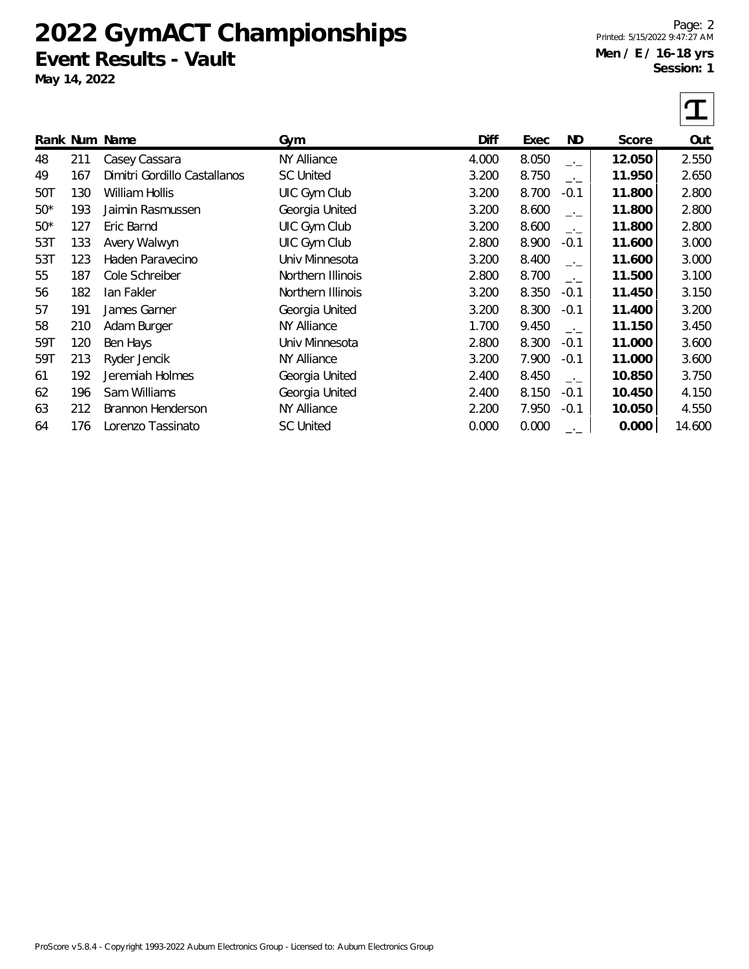# **2022 GymACT Championships Event Results - Vault**

**May 14, 2022**

Page: 2 Printed: 5/15/2022 9:47:27 AM **Men / E / 16-18 yrs Session: 1**

|       |     | Rank Num Name                | Gym                | Diff  | Exec  | ND         | Score  | Out    |
|-------|-----|------------------------------|--------------------|-------|-------|------------|--------|--------|
| 48    | 211 | Casey Cassara                | NY Alliance        | 4.000 | 8.050 | — <u>—</u> | 12.050 | 2.550  |
| 49    | 167 | Dimitri Gordillo Castallanos | <b>SC United</b>   | 3.200 | 8.750 | $-1$       | 11.950 | 2.650  |
| 50T   | 130 | William Hollis               | UIC Gym Club       | 3.200 | 8.700 | $-0.1$     | 11.800 | 2.800  |
| $50*$ | 193 | Jaimin Rasmussen             | Georgia United     | 3.200 | 8.600 | $-1$       | 11.800 | 2.800  |
| $50*$ | 127 | Eric Barnd                   | UIC Gym Club       | 3.200 | 8.600 | $-1$       | 11.800 | 2.800  |
| 53T   | 133 | Avery Walwyn                 | UIC Gym Club       | 2.800 | 8.900 | $-0.1$     | 11.600 | 3.000  |
| 53T   | 123 | Haden Paravecino             | Univ Minnesota     | 3.200 | 8.400 | $-1$       | 11.600 | 3.000  |
| 55    | 187 | Cole Schreiber               | Northern Illinois  | 2.800 | 8.700 | $-1$       | 11.500 | 3.100  |
| 56    | 182 | lan Fakler                   | Northern Illinois  | 3.200 | 8.350 | $-0.1$     | 11.450 | 3.150  |
| 57    | 191 | James Garner                 | Georgia United     | 3.200 | 8.300 | $-0.1$     | 11.400 | 3.200  |
| 58    | 210 | Adam Burger                  | <b>NY Alliance</b> | 1.700 | 9.450 | —'—        | 11.150 | 3.450  |
| 59T   | 120 | Ben Hays                     | Univ Minnesota     | 2.800 | 8.300 | $-0.1$     | 11.000 | 3.600  |
| 59T   | 213 | Ryder Jencik                 | <b>NY Alliance</b> | 3.200 | 7.900 | $-0.1$     | 11.000 | 3.600  |
| 61    | 192 | Jeremiah Holmes              | Georgia United     | 2.400 | 8.450 | $-1$       | 10.850 | 3.750  |
| 62    | 196 | Sam Williams                 | Georgia United     | 2.400 | 8.150 | $-0.1$     | 10.450 | 4.150  |
| 63    | 212 | Brannon Henderson            | NY Alliance        | 2.200 | 7.950 | $-0.1$     | 10.050 | 4.550  |
| 64    | 176 | Lorenzo Tassinato            | <b>SC United</b>   | 0.000 | 0.000 |            | 0.000  | 14.600 |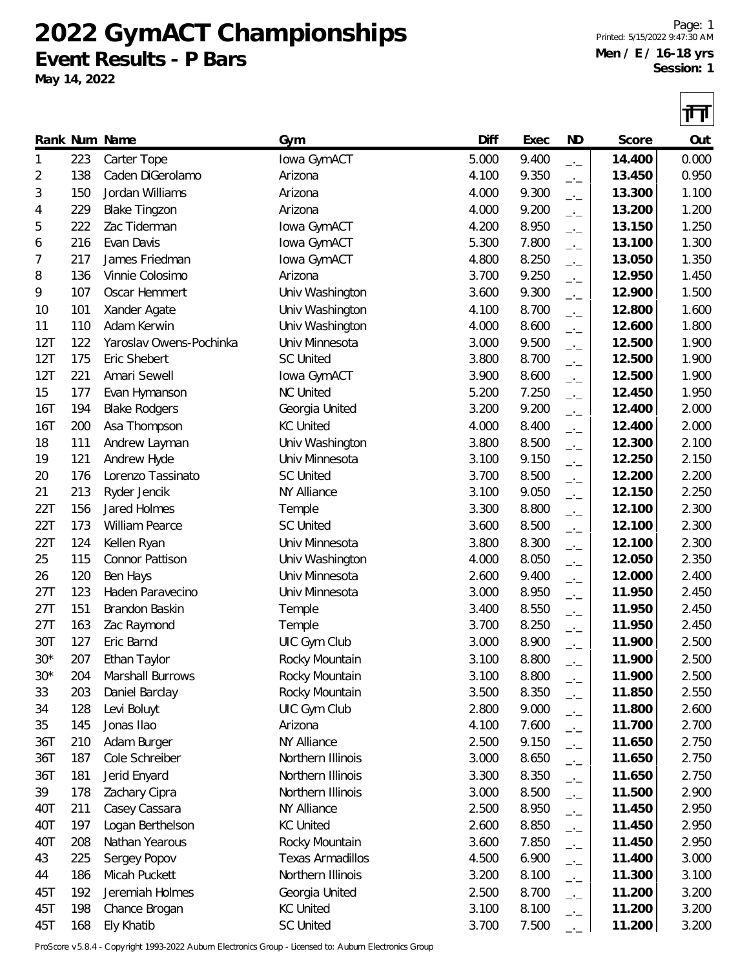**2022 GymACT Championships Event Results - P Bars**

**May 14, 2022**

Page: 1 Printed: 5/15/2022 9:47:30 AM **Men / E / 16-18 yrs Session: 1**

|              |     |                         |                         |       |       |                          |        | 11 H  |
|--------------|-----|-------------------------|-------------------------|-------|-------|--------------------------|--------|-------|
|              |     | Rank Num Name           | Gym                     | Diff  | Exec  | <b>ND</b>                | Score  | Out   |
| $\mathbf{1}$ | 223 | Carter Tope             | Iowa GymACT             | 5.000 | 9.400 | $-1$                     | 14.400 | 0.000 |
| 2            | 138 | Caden DiGerolamo        | Arizona                 | 4.100 | 9.350 | $-1$                     | 13.450 | 0.950 |
| 3            | 150 | Jordan Williams         | Arizona                 | 4.000 | 9.300 | $-1$                     | 13.300 | 1.100 |
| 4            | 229 | <b>Blake Tingzon</b>    | Arizona                 | 4.000 | 9.200 | $-1$                     | 13.200 | 1.200 |
| 5            | 222 | Zac Tiderman            | Iowa GymACT             | 4.200 | 8.950 | $-1$                     | 13.150 | 1.250 |
| 6            | 216 | Evan Davis              | Iowa GymACT             | 5.300 | 7.800 | $-1$                     | 13.100 | 1.300 |
| 7            | 217 | James Friedman          | lowa GymACT             | 4.800 | 8.250 | $-1$                     | 13.050 | 1.350 |
| 8            | 136 | Vinnie Colosimo         | Arizona                 | 3.700 | 9.250 | $-1$                     | 12.950 | 1.450 |
| 9            | 107 | Oscar Hemmert           | Univ Washington         | 3.600 | 9.300 | $-1$                     | 12.900 | 1.500 |
| 10           | 101 | Xander Agate            | Univ Washington         | 4.100 | 8.700 | $-1$                     | 12.800 | 1.600 |
| 11           | 110 | Adam Kerwin             | Univ Washington         | 4.000 | 8.600 | $\overline{\phantom{a}}$ | 12.600 | 1.800 |
| 12T          | 122 | Yaroslav Owens-Pochinka | Univ Minnesota          | 3.000 | 9.500 | $-1$                     | 12.500 | 1.900 |
| 12T          | 175 | Eric Shebert            | <b>SC United</b>        | 3.800 | 8.700 | $-1$                     | 12.500 | 1.900 |
| 12T          | 221 | Amari Sewell            | Iowa GymACT             | 3.900 | 8.600 | $-1$                     | 12.500 | 1.900 |
| 15           | 177 | Evan Hymanson           | <b>NC United</b>        | 5.200 | 7.250 | $-1$                     | 12.450 | 1.950 |
| 16T          | 194 | <b>Blake Rodgers</b>    | Georgia United          | 3.200 | 9.200 | $-1$                     | 12.400 | 2.000 |
| 16T          | 200 | Asa Thompson            | <b>KC United</b>        | 4.000 | 8.400 | $-1$                     | 12.400 | 2.000 |
| 18           | 111 | Andrew Layman           | Univ Washington         | 3.800 | 8.500 | $-1$                     | 12.300 | 2.100 |
| 19           | 121 | Andrew Hyde             | Univ Minnesota          | 3.100 | 9.150 | $-1$                     | 12.250 | 2.150 |
| 20           | 176 | Lorenzo Tassinato       | <b>SC United</b>        | 3.700 | 8.500 | $-1$                     | 12.200 | 2.200 |
| 21           | 213 | Ryder Jencik            | NY Alliance             | 3.100 | 9.050 | $-1$                     | 12.150 | 2.250 |
| 22T          | 156 | Jared Holmes            | Temple                  | 3.300 | 8.800 | $-1$                     | 12.100 | 2.300 |
| 22T          | 173 | William Pearce          | <b>SC United</b>        | 3.600 | 8.500 | $-1$                     | 12.100 | 2.300 |
| 22T          | 124 | Kellen Ryan             | Univ Minnesota          | 3.800 | 8.300 | $-1$                     | 12.100 | 2.300 |
| 25           | 115 | Connor Pattison         | Univ Washington         | 4.000 | 8.050 | $-1$                     | 12.050 | 2.350 |
| 26           | 120 | Ben Hays                | Univ Minnesota          | 2.600 | 9.400 | $\overline{\phantom{a}}$ | 12.000 | 2.400 |
| 27T          | 123 | Haden Paravecino        | Univ Minnesota          | 3.000 | 8.950 | $-1$                     | 11.950 | 2.450 |
| 27T          | 151 | Brandon Baskin          | Temple                  | 3.400 | 8.550 | $-1$                     | 11.950 | 2.450 |
| 27T          | 163 | Zac Raymond             | Temple                  | 3.700 | 8.250 | $-1$                     | 11.950 | 2.450 |
| 30T          | 127 | Eric Barnd              | UIC Gym Club            | 3.000 | 8.900 | $-1$                     | 11.900 | 2.500 |
| $30*$        | 207 | Ethan Taylor            | Rocky Mountain          | 3.100 | 8.800 | $ -$                     | 11.900 | 2.500 |
| $30*$        | 204 | Marshall Burrows        | Rocky Mountain          | 3.100 | 8.800 | $ -$                     | 11.900 | 2.500 |
| 33           | 203 | Daniel Barclay          | Rocky Mountain          | 3.500 | 8.350 | $-1$                     | 11.850 | 2.550 |
| 34           | 128 | Levi Boluyt             | UIC Gym Club            | 2.800 | 9.000 | $-1$                     | 11.800 | 2.600 |
| 35           | 145 | Jonas Ilao              | Arizona                 | 4.100 | 7.600 | $ -$                     | 11.700 | 2.700 |
| 36T          | 210 | Adam Burger             | NY Alliance             | 2.500 | 9.150 | $ -$                     | 11.650 | 2.750 |
| 36T          | 187 | Cole Schreiber          | Northern Illinois       | 3.000 | 8.650 | $-1$                     | 11.650 | 2.750 |
| 36T          | 181 | Jerid Enyard            | Northern Illinois       | 3.300 | 8.350 | $-1$                     | 11.650 | 2.750 |
| 39           | 178 | Zachary Cipra           | Northern Illinois       | 3.000 | 8.500 | $-1$                     | 11.500 | 2.900 |
| 40T          | 211 | Casey Cassara           | NY Alliance             | 2.500 | 8.950 | $-$                      | 11.450 | 2.950 |
| 40T          | 197 | Logan Berthelson        | <b>KC United</b>        | 2.600 | 8.850 | $-1$                     | 11.450 | 2.950 |
| 40T          | 208 | Nathan Yearous          | Rocky Mountain          | 3.600 | 7.850 | $-1$                     | 11.450 | 2.950 |
| 43           | 225 | Sergey Popov            | <b>Texas Armadillos</b> | 4.500 | 6.900 | $-1$                     | 11.400 | 3.000 |
| 44           | 186 | Micah Puckett           | Northern Illinois       | 3.200 | 8.100 | $-1$                     | 11.300 | 3.100 |
| 45T          | 192 | Jeremiah Holmes         | Georgia United          | 2.500 | 8.700 | $-1$                     | 11.200 | 3.200 |
| 45T          | 198 | Chance Brogan           | <b>KC United</b>        | 3.100 | 8.100 | $ -$                     | 11.200 | 3.200 |
| 45T          | 168 | Ely Khatib              | <b>SC United</b>        | 3.700 | 7.500 |                          | 11.200 | 3.200 |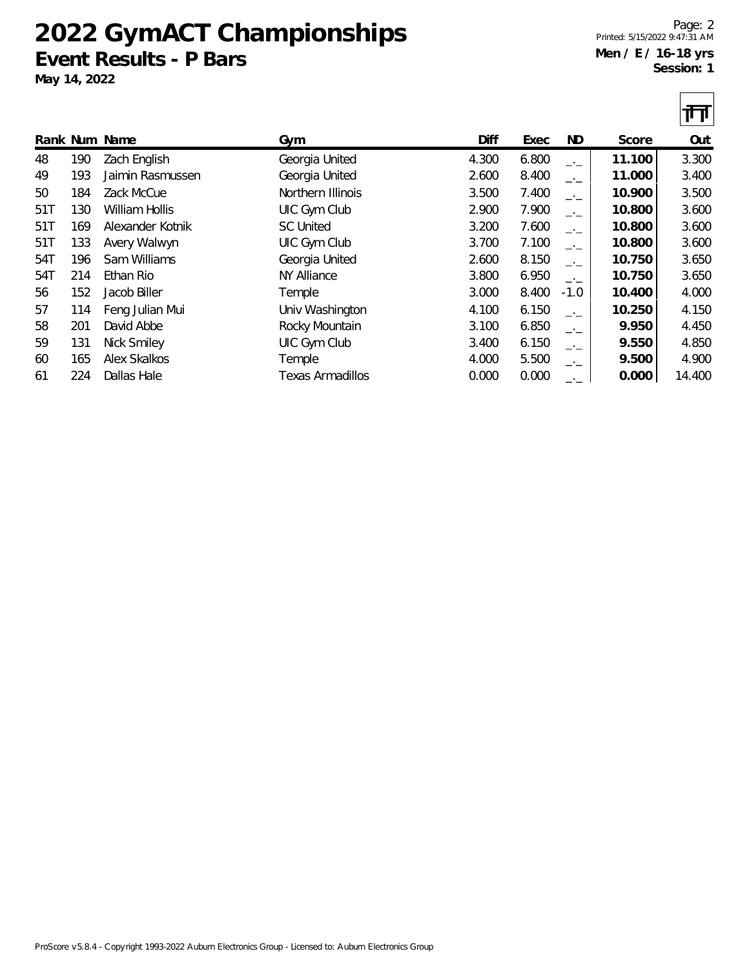## **2022 GymACT Championships Event Results - P Bars**

**May 14, 2022**

Page: 2 Printed: 5/15/2022 9:47:31 AM **Men / E / 16-18 yrs Session: 1**

|     |     |                     |                    |       |       |          |        | Щ      |
|-----|-----|---------------------|--------------------|-------|-------|----------|--------|--------|
|     |     | Rank Num Name       | Gym                | Diff  | Exec  | ND.      | Score  | Out    |
| 48  | 190 | Zach English        | Georgia United     | 4.300 | 6.800 | <u>.</u> | 11.100 | 3.300  |
| 49  | 193 | Jaimin Rasmussen    | Georgia United     | 2.600 | 8.400 | $-1$     | 11.000 | 3.400  |
| 50  | 184 | Zack McCue          | Northern Illinois  | 3.500 | 7.400 | $-1$     | 10.900 | 3.500  |
| 51T | 130 | William Hollis      | UIC Gym Club       | 2.900 | 7.900 | $-1$     | 10.800 | 3.600  |
| 51T | 169 | Alexander Kotnik    | <b>SC United</b>   | 3.200 | 7.600 | $-1$     | 10.800 | 3.600  |
| 51T | 133 | Avery Walwyn        | UIC Gym Club       | 3.700 | 7.100 | $-1$     | 10.800 | 3.600  |
| 54T | 196 | Sam Williams        | Georgia United     | 2.600 | 8.150 | —'—      | 10.750 | 3.650  |
| 54T | 214 | Ethan Rio           | <b>NY Alliance</b> | 3.800 | 6.950 | $-1$     | 10.750 | 3.650  |
| 56  | 152 | Jacob Biller        | Temple             | 3.000 | 8.400 | $-1.0$   | 10.400 | 4.000  |
| 57  | 114 | Feng Julian Mui     | Univ Washington    | 4.100 | 6.150 | $-1$     | 10.250 | 4.150  |
| 58  | 201 | David Abbe          | Rocky Mountain     | 3.100 | 6.850 | $-1$     | 9.950  | 4.450  |
| 59  | 131 | Nick Smiley         | UIC Gym Club       | 3.400 | 6.150 | —'—      | 9.550  | 4.850  |
| 60  | 165 | <b>Alex Skalkos</b> | Temple             | 4.000 | 5.500 |          | 9.500  | 4.900  |
| 61  | 224 | Dallas Hale         | Texas Armadillos   | 0.000 | 0.000 |          | 0.000  | 14.400 |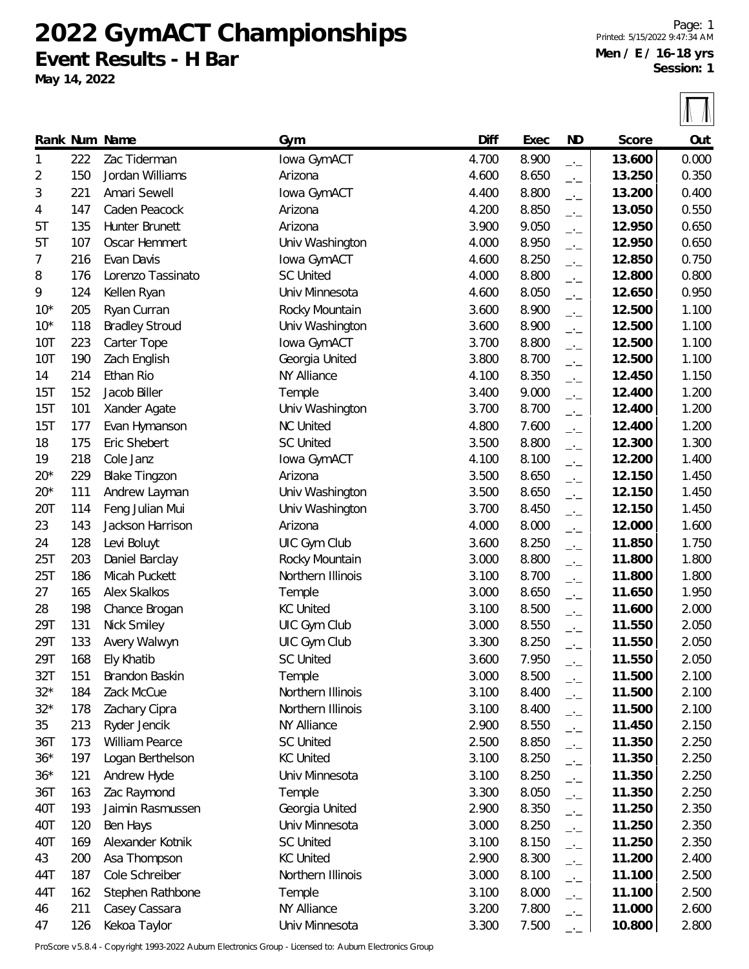**2022 GymACT Championships Event Results - H Bar**

**May 14, 2022**

Page: 1 Printed: 5/15/2022 9:47:34 AM **Men / E / 16-18 yrs Session: 1**

 $|\sqrt{1}$ 

|            |     |                       |                   |       |       |                          |        | TA AN |
|------------|-----|-----------------------|-------------------|-------|-------|--------------------------|--------|-------|
|            |     | Rank Num Name         | Gym               | Diff  | Exec  | ND                       | Score  | Out   |
| 1          | 222 | Zac Tiderman          | Iowa GymACT       | 4.700 | 8.900 | $-1$                     | 13.600 | 0.000 |
| 2          | 150 | Jordan Williams       | Arizona           | 4.600 | 8.650 | $-1$                     | 13.250 | 0.350 |
| 3          | 221 | Amari Sewell          | lowa GymACT       | 4.400 | 8.800 | $-1$                     | 13.200 | 0.400 |
| 4          | 147 | Caden Peacock         | Arizona           | 4.200 | 8.850 | $\overline{\phantom{a}}$ | 13.050 | 0.550 |
| 5T         | 135 | Hunter Brunett        | Arizona           | 3.900 | 9.050 | $-1$                     | 12.950 | 0.650 |
| 5T         | 107 | Oscar Hemmert         | Univ Washington   | 4.000 | 8.950 | $-1$                     | 12.950 | 0.650 |
| 7          | 216 | Evan Davis            | Iowa GymACT       | 4.600 | 8.250 | $-1$                     | 12.850 | 0.750 |
| 8          | 176 | Lorenzo Tassinato     | <b>SC United</b>  | 4.000 | 8.800 | $-1$                     | 12.800 | 0.800 |
| 9          | 124 | Kellen Ryan           | Univ Minnesota    | 4.600 | 8.050 | $-1$                     | 12.650 | 0.950 |
| $10*$      | 205 | Ryan Curran           | Rocky Mountain    | 3.600 | 8.900 | $-1$                     | 12.500 | 1.100 |
| $10*$      | 118 | <b>Bradley Stroud</b> | Univ Washington   | 3.600 | 8.900 | $\overline{\phantom{a}}$ | 12.500 | 1.100 |
| <b>10T</b> | 223 | Carter Tope           | lowa GymACT       | 3.700 | 8.800 | $-1$                     | 12.500 | 1.100 |
| 10T        | 190 | Zach English          | Georgia United    | 3.800 | 8.700 | $-1$                     | 12.500 | 1.100 |
| 14         | 214 | Ethan Rio             | NY Alliance       | 4.100 | 8.350 | $-1$                     | 12.450 | 1.150 |
| 15T        | 152 | Jacob Biller          | Temple            | 3.400 | 9.000 | $-1$                     | 12.400 | 1.200 |
| 15T        | 101 | Xander Agate          | Univ Washington   | 3.700 | 8.700 | $-1$                     | 12.400 | 1.200 |
| 15T        | 177 | Evan Hymanson         | <b>NC United</b>  | 4.800 | 7.600 | $-1$                     | 12.400 | 1.200 |
| 18         | 175 | Eric Shebert          | <b>SC United</b>  | 3.500 | 8.800 | $\overline{\phantom{a}}$ | 12.300 | 1.300 |
| 19         | 218 | Cole Janz             | lowa GymACT       | 4.100 | 8.100 | $-1$                     | 12.200 | 1.400 |
| $20*$      | 229 | <b>Blake Tingzon</b>  | Arizona           | 3.500 | 8.650 | $ -$                     | 12.150 | 1.450 |
| $20*$      | 111 | Andrew Layman         | Univ Washington   | 3.500 | 8.650 | $ -$                     | 12.150 | 1.450 |
| 20T        | 114 | Feng Julian Mui       | Univ Washington   | 3.700 | 8.450 | $-1$                     | 12.150 | 1.450 |
| 23         | 143 | Jackson Harrison      | Arizona           | 4.000 | 8.000 | $-1$                     | 12.000 | 1.600 |
| 24         | 128 | Levi Boluyt           | UIC Gym Club      | 3.600 | 8.250 | $-1$                     | 11.850 | 1.750 |
| 25T        | 203 | Daniel Barclay        | Rocky Mountain    | 3.000 | 8.800 | $-1$                     | 11.800 | 1.800 |
| 25T        | 186 | Micah Puckett         | Northern Illinois | 3.100 | 8.700 | $\overline{\phantom{a}}$ | 11.800 | 1.800 |
| 27         | 165 | Alex Skalkos          | Temple            | 3.000 | 8.650 | $-1$                     | 11.650 | 1.950 |
| 28         | 198 | Chance Brogan         | <b>KC United</b>  | 3.100 | 8.500 | $-1$                     | 11.600 | 2.000 |
| 29T        | 131 | Nick Smiley           | UIC Gym Club      | 3.000 | 8.550 | $-1$                     | 11.550 | 2.050 |
| 29T        | 133 | Avery Walwyn          | UIC Gym Club      | 3.300 | 8.250 | $-1$                     | 11.550 | 2.050 |
| 29T        | 168 | Ely Khatib            | <b>SC United</b>  | 3.600 | 7.950 | $-1$                     | 11.550 | 2.050 |
| 32T        | 151 | Brandon Baskin        | Temple            | 3.000 | 8.500 | $-1$                     | 11.500 | 2.100 |
| $32*$      | 184 | Zack McCue            | Northern Illinois | 3.100 | 8.400 | $ -$                     | 11.500 | 2.100 |
| $32*$      | 178 | Zachary Cipra         | Northern Illinois | 3.100 | 8.400 | $ -$                     | 11.500 | 2.100 |
| 35         | 213 | Ryder Jencik          | NY Alliance       | 2.900 | 8.550 | $ -$                     | 11.450 | 2.150 |
| 36T        | 173 | William Pearce        | <b>SC United</b>  | 2.500 | 8.850 | $ -$                     | 11.350 | 2.250 |
| $36*$      | 197 | Logan Berthelson      | <b>KC United</b>  | 3.100 | 8.250 | $-1$                     | 11.350 | 2.250 |
| $36*$      | 121 | Andrew Hyde           | Univ Minnesota    | 3.100 | 8.250 | $ -$                     | 11.350 | 2.250 |
| 36T        | 163 | Zac Raymond           | Temple            | 3.300 | 8.050 | $ -$                     | 11.350 | 2.250 |
| 40T        | 193 | Jaimin Rasmussen      | Georgia United    | 2.900 | 8.350 | $ -$                     | 11.250 | 2.350 |
| 40T        | 120 | Ben Hays              | Univ Minnesota    | 3.000 | 8.250 | $-1$                     | 11.250 | 2.350 |
| 40T        | 169 | Alexander Kotnik      | <b>SC United</b>  | 3.100 | 8.150 | $ -$                     | 11.250 | 2.350 |
| 43         | 200 | Asa Thompson          | <b>KC United</b>  | 2.900 | 8.300 | $ -$                     | 11.200 | 2.400 |
| 44T        | 187 | Cole Schreiber        | Northern Illinois | 3.000 | 8.100 | $-1$                     | 11.100 | 2.500 |
| 44T        | 162 | Stephen Rathbone      | Temple            | 3.100 | 8.000 | $ -$                     | 11.100 | 2.500 |
| 46         | 211 | Casey Cassara         | NY Alliance       | 3.200 | 7.800 | $ -$                     | 11.000 | 2.600 |
| 47         | 126 | Kekoa Taylor          | Univ Minnesota    | 3.300 | 7.500 | $-1$                     | 10.800 | 2.800 |